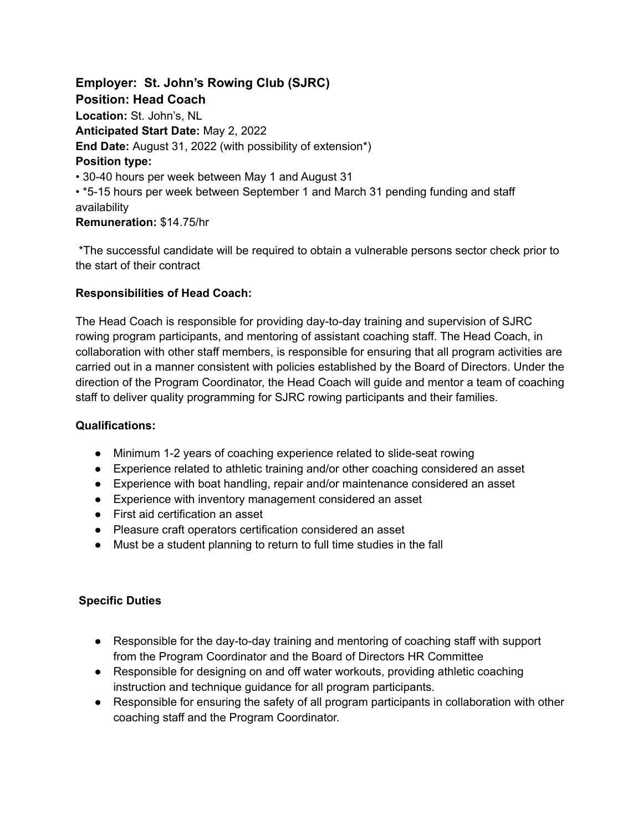**Employer: St. John's Rowing Club (SJRC) Position: Head Coach Location:** St. John's, NL **Anticipated Start Date:** May 2, 2022 **End Date:** August 31, 2022 (with possibility of extension\*) **Position type:** • 30-40 hours per week between May 1 and August 31 • \*5-15 hours per week between September 1 and March 31 pending funding and staff availability **Remuneration:** \$14.75/hr

\*The successful candidate will be required to obtain a vulnerable persons sector check prior to the start of their contract

## **Responsibilities of Head Coach:**

The Head Coach is responsible for providing day-to-day training and supervision of SJRC rowing program participants, and mentoring of assistant coaching staff. The Head Coach, in collaboration with other staff members, is responsible for ensuring that all program activities are carried out in a manner consistent with policies established by the Board of Directors. Under the direction of the Program Coordinator, the Head Coach will guide and mentor a team of coaching staff to deliver quality programming for SJRC rowing participants and their families.

### **Qualifications:**

- Minimum 1-2 years of coaching experience related to slide-seat rowing
- Experience related to athletic training and/or other coaching considered an asset
- Experience with boat handling, repair and/or maintenance considered an asset
- Experience with inventory management considered an asset
- First aid certification an asset
- Pleasure craft operators certification considered an asset
- Must be a student planning to return to full time studies in the fall

### **Specific Duties**

- Responsible for the day-to-day training and mentoring of coaching staff with support from the Program Coordinator and the Board of Directors HR Committee
- Responsible for designing on and off water workouts, providing athletic coaching instruction and technique guidance for all program participants.
- Responsible for ensuring the safety of all program participants in collaboration with other coaching staff and the Program Coordinator.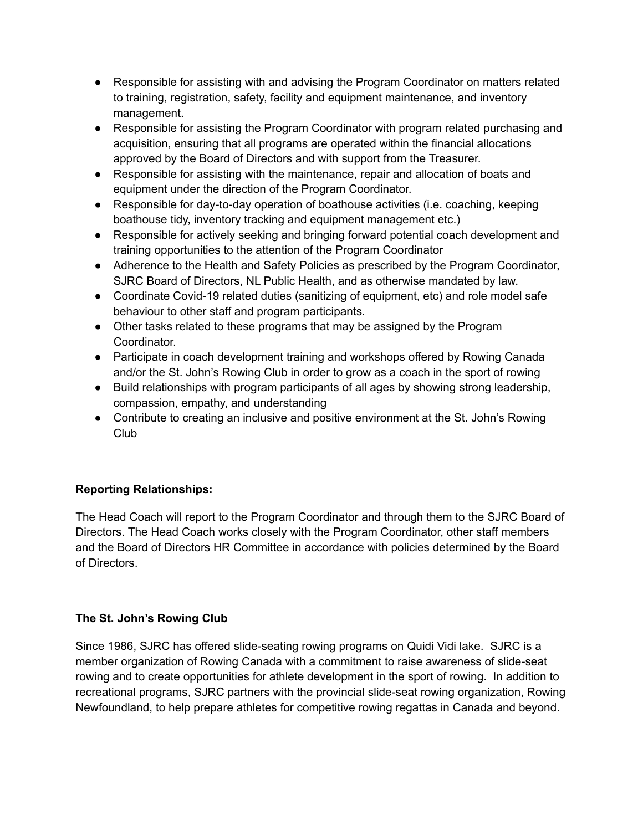- Responsible for assisting with and advising the Program Coordinator on matters related to training, registration, safety, facility and equipment maintenance, and inventory management.
- Responsible for assisting the Program Coordinator with program related purchasing and acquisition, ensuring that all programs are operated within the financial allocations approved by the Board of Directors and with support from the Treasurer.
- Responsible for assisting with the maintenance, repair and allocation of boats and equipment under the direction of the Program Coordinator.
- Responsible for day-to-day operation of boathouse activities (i.e. coaching, keeping boathouse tidy, inventory tracking and equipment management etc.)
- Responsible for actively seeking and bringing forward potential coach development and training opportunities to the attention of the Program Coordinator
- Adherence to the Health and Safety Policies as prescribed by the Program Coordinator, SJRC Board of Directors, NL Public Health, and as otherwise mandated by law.
- Coordinate Covid-19 related duties (sanitizing of equipment, etc) and role model safe behaviour to other staff and program participants.
- Other tasks related to these programs that may be assigned by the Program Coordinator.
- Participate in coach development training and workshops offered by Rowing Canada and/or the St. John's Rowing Club in order to grow as a coach in the sport of rowing
- Build relationships with program participants of all ages by showing strong leadership, compassion, empathy, and understanding
- Contribute to creating an inclusive and positive environment at the St. John's Rowing Club

# **Reporting Relationships:**

The Head Coach will report to the Program Coordinator and through them to the SJRC Board of Directors. The Head Coach works closely with the Program Coordinator, other staff members and the Board of Directors HR Committee in accordance with policies determined by the Board of Directors.

# **The St. John's Rowing Club**

Since 1986, SJRC has offered slide-seating rowing programs on Quidi Vidi lake. SJRC is a member organization of Rowing Canada with a commitment to raise awareness of slide-seat rowing and to create opportunities for athlete development in the sport of rowing. In addition to recreational programs, SJRC partners with the provincial slide-seat rowing organization, Rowing Newfoundland, to help prepare athletes for competitive rowing regattas in Canada and beyond.